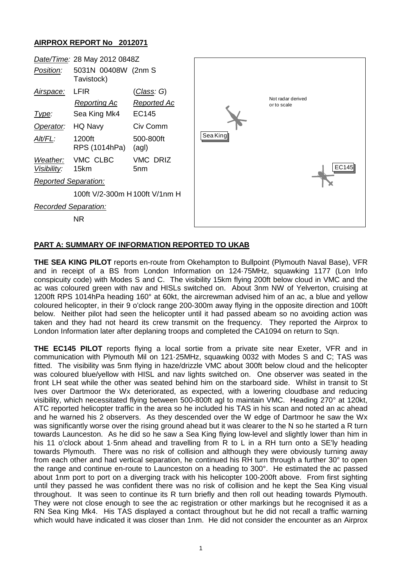## **AIRPROX REPORT No 2012071**



## **PART A: SUMMARY OF INFORMATION REPORTED TO UKAB**

**THE SEA KING PILOT** reports en-route from Okehampton to Bullpoint (Plymouth Naval Base), VFR and in receipt of a BS from London Information on 124·75MHz, squawking 1177 (Lon Info conspicuity code) with Modes S and C. The visibility 15km flying 200ft below cloud in VMC and the ac was coloured green with nav and HISLs switched on. About 3nm NW of Yelverton, cruising at 1200ft RPS 1014hPa heading 160° at 60kt, the aircrewman advised him of an ac, a blue and yellow coloured helicopter, in their 9 o'clock range 200-300m away flying in the opposite direction and 100ft below. Neither pilot had seen the helicopter until it had passed abeam so no avoiding action was taken and they had not heard its crew transmit on the frequency. They reported the Airprox to London Information later after deplaning troops and completed the CA1094 on return to Sqn.

**THE EC145 PILOT** reports flying a local sortie from a private site near Exeter, VFR and in communication with Plymouth Mil on 121·25MHz, squawking 0032 with Modes S and C; TAS was fitted. The visibility was 5nm flying in haze/drizzle VMC about 300ft below cloud and the helicopter was coloured blue/yellow with HISL and nav lights switched on. One observer was seated in the front LH seat while the other was seated behind him on the starboard side. Whilst in transit to St Ives over Dartmoor the Wx deteriorated, as expected, with a lowering cloudbase and reducing visibility, which necessitated flying between 500-800ft agl to maintain VMC. Heading 270° at 120kt, ATC reported helicopter traffic in the area so he included his TAS in his scan and noted an ac ahead and he warned his 2 observers. As they descended over the W edge of Dartmoor he saw the Wx was significantly worse over the rising ground ahead but it was clearer to the N so he started a R turn towards Launceston. As he did so he saw a Sea King flying low-level and slightly lower than him in his 11 o'clock about 1.5nm ahead and travelling from R to L in a RH turn onto a SE'ly heading towards Plymouth. There was no risk of collision and although they were obviously turning away from each other and had vertical separation, he continued his RH turn through a further 30° to open the range and continue en-route to Launceston on a heading to 300°. He estimated the ac passed about 1nm port to port on a diverging track with his helicopter 100-200ft above. From first sighting until they passed he was confident there was no risk of collision and he kept the Sea King visual throughout. It was seen to continue its R turn briefly and then roll out heading towards Plymouth. They were not close enough to see the ac registration or other markings but he recognised it as a RN Sea King Mk4. His TAS displayed a contact throughout but he did not recall a traffic warning which would have indicated it was closer than 1nm. He did not consider the encounter as an Airprox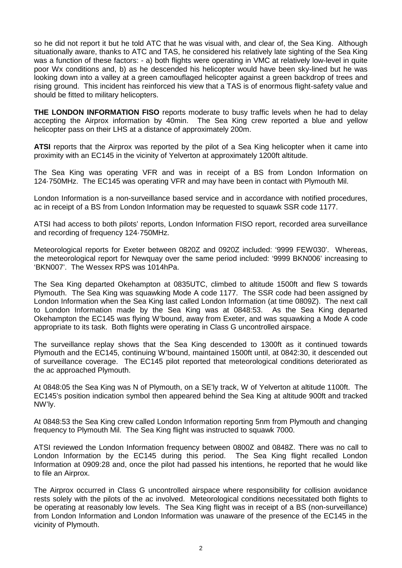so he did not report it but he told ATC that he was visual with, and clear of, the Sea King. Although situationally aware, thanks to ATC and TAS, he considered his relatively late sighting of the Sea King was a function of these factors: - a) both flights were operating in VMC at relatively low-level in quite poor Wx conditions and, b) as he descended his helicopter would have been sky-lined but he was looking down into a valley at a green camouflaged helicopter against a green backdrop of trees and rising ground. This incident has reinforced his view that a TAS is of enormous flight-safety value and should be fitted to military helicopters.

**THE LONDON INFORMATION FISO** reports moderate to busy traffic levels when he had to delay accepting the Airprox information by 40min. The Sea King crew reported a blue and yellow helicopter pass on their LHS at a distance of approximately 200m.

**ATSI** reports that the Airprox was reported by the pilot of a Sea King helicopter when it came into proximity with an EC145 in the vicinity of Yelverton at approximately 1200ft altitude.

The Sea King was operating VFR and was in receipt of a BS from London Information on 124·750MHz. The EC145 was operating VFR and may have been in contact with Plymouth Mil.

London Information is a non-surveillance based service and in accordance with notified procedures, ac in receipt of a BS from London Information may be requested to squawk SSR code 1177.

ATSI had access to both pilots' reports, London Information FISO report, recorded area surveillance and recording of frequency 124·750MHz.

Meteorological reports for Exeter between 0820Z and 0920Z included: '9999 FEW030'. Whereas, the meteorological report for Newquay over the same period included: '9999 BKN006' increasing to 'BKN007'. The Wessex RPS was 1014hPa.

The Sea King departed Okehampton at 0835UTC, climbed to altitude 1500ft and flew S towards Plymouth. The Sea King was squawking Mode A code 1177. The SSR code had been assigned by London Information when the Sea King last called London Information (at time 0809Z). The next call to London Information made by the Sea King was at 0848:53. As the Sea King departed Okehampton the EC145 was flying W'bound, away from Exeter, and was squawking a Mode A code appropriate to its task. Both flights were operating in Class G uncontrolled airspace.

The surveillance replay shows that the Sea King descended to 1300ft as it continued towards Plymouth and the EC145, continuing W'bound, maintained 1500ft until, at 0842:30, it descended out of surveillance coverage. The EC145 pilot reported that meteorological conditions deteriorated as the ac approached Plymouth.

At 0848:05 the Sea King was N of Plymouth, on a SE'ly track, W of Yelverton at altitude 1100ft. The EC145's position indication symbol then appeared behind the Sea King at altitude 900ft and tracked NW'ly.

At 0848:53 the Sea King crew called London Information reporting 5nm from Plymouth and changing frequency to Plymouth Mil. The Sea King flight was instructed to squawk 7000.

ATSI reviewed the London Information frequency between 0800Z and 0848Z. There was no call to London Information by the EC145 during this period. The Sea King flight recalled London Information at 0909:28 and, once the pilot had passed his intentions, he reported that he would like to file an Airprox.

The Airprox occurred in Class G uncontrolled airspace where responsibility for collision avoidance rests solely with the pilots of the ac involved. Meteorological conditions necessitated both flights to be operating at reasonably low levels. The Sea King flight was in receipt of a BS (non-surveillance) from London Information and London Information was unaware of the presence of the EC145 in the vicinity of Plymouth.